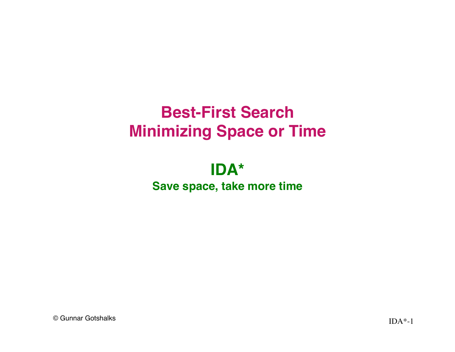# **Best-First Search Minimizing Space or Time**

#### **IDA\* Save space, take more time**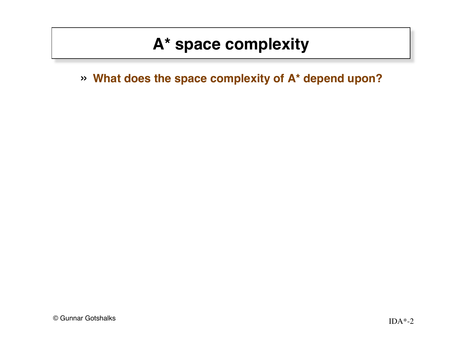» **What does the space complexity of A\* depend upon?**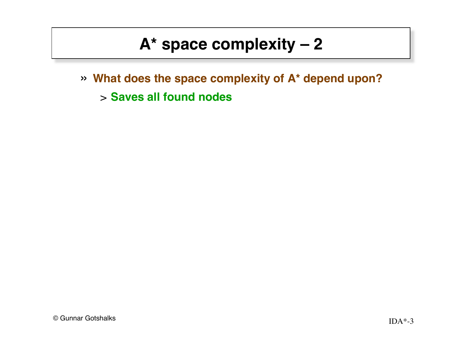- » **What does the space complexity of A\* depend upon?**
	- > **Saves all found nodes**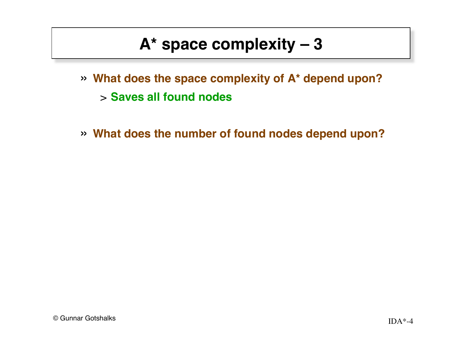- » **What does the space complexity of A\* depend upon?** > **Saves all found nodes**
- » **What does the number of found nodes depend upon?**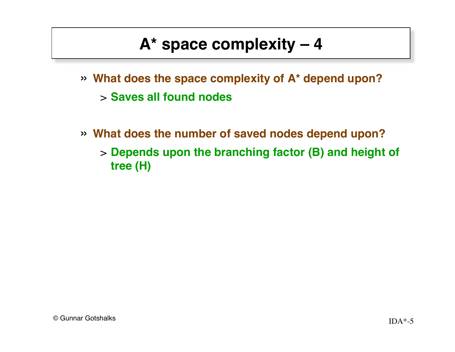- » **What does the space complexity of A\* depend upon?** > **Saves all found nodes**
- » **What does the number of saved nodes depend upon?** > **Depends upon the branching factor (B) and height of tree (H)**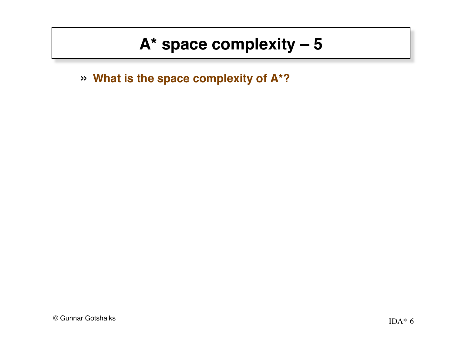» **What is the space complexity of A\*?**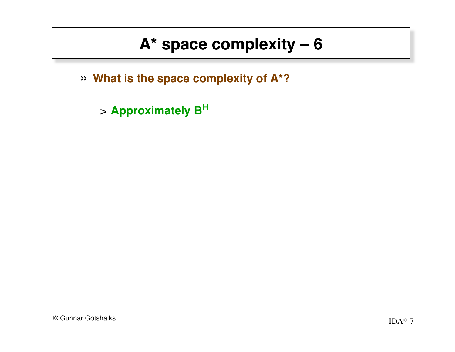» **What is the space complexity of A\*?**

> **Approximately B<sup>H</sup>**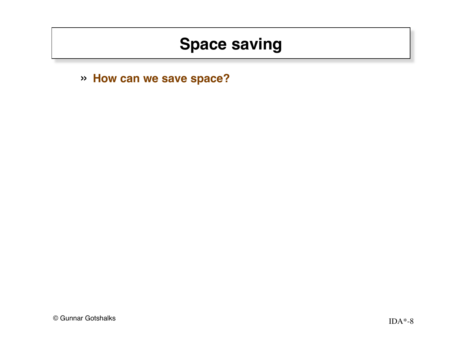» **How can we save space?**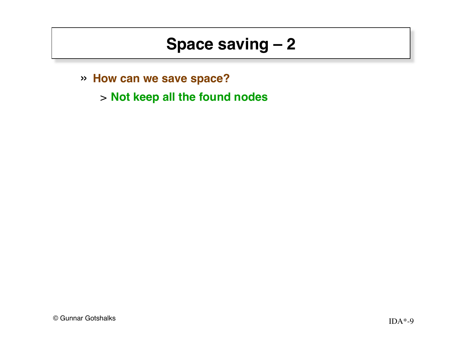- » **How can we save space?**
	- > **Not keep all the found nodes**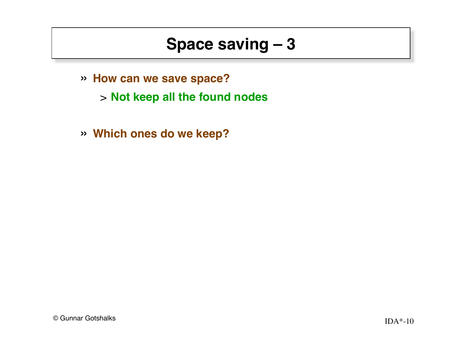- » **How can we save space?**
	- > **Not keep all the found nodes**
- » **Which ones do we keep?**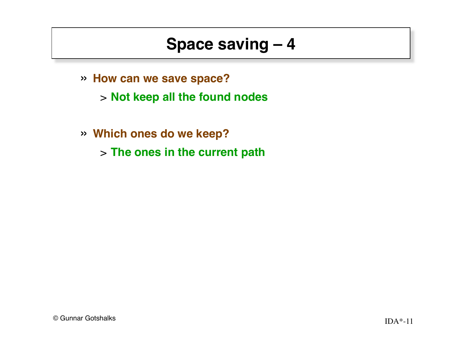- » **How can we save space?**
	- > **Not keep all the found nodes**
- » **Which ones do we keep?**
	- > **The ones in the current path**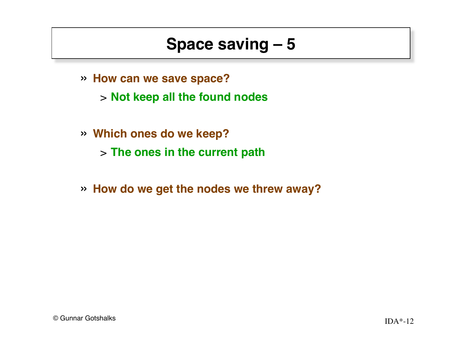- » **How can we save space?**
	- > **Not keep all the found nodes**
- » **Which ones do we keep?** > **The ones in the current path**
- » **How do we get the nodes we threw away?**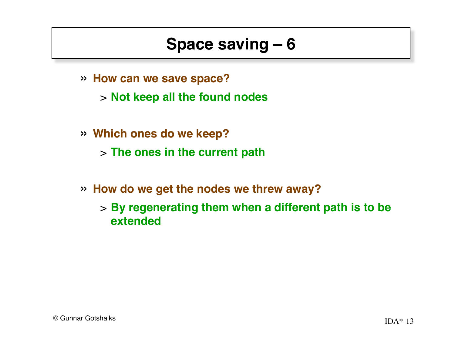- » **How can we save space?**
	- > **Not keep all the found nodes**
- » **Which ones do we keep?**
	- > **The ones in the current path**
- » **How do we get the nodes we threw away?**
	- > **By regenerating them when a different path is to be extended**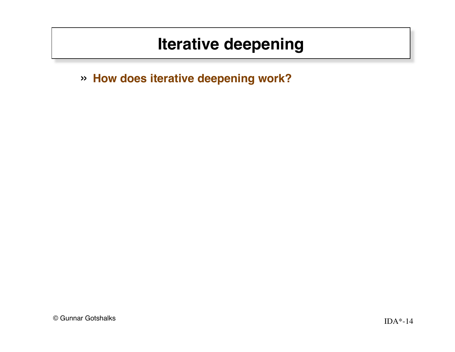» **How does iterative deepening work?**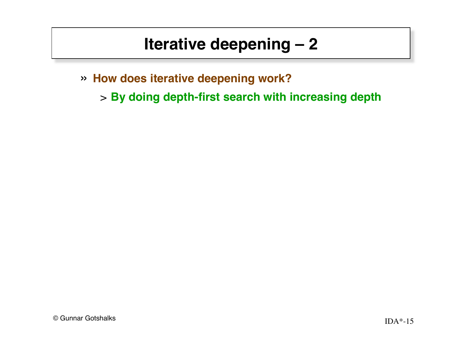- » **How does iterative deepening work?**
	- > **By doing depth-first search with increasing depth**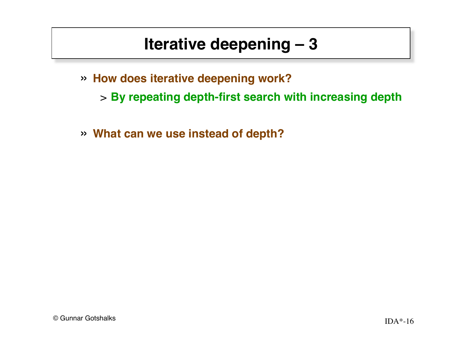- » **How does iterative deepening work?**
	- > **By repeating depth-first search with increasing depth**
- » **What can we use instead of depth?**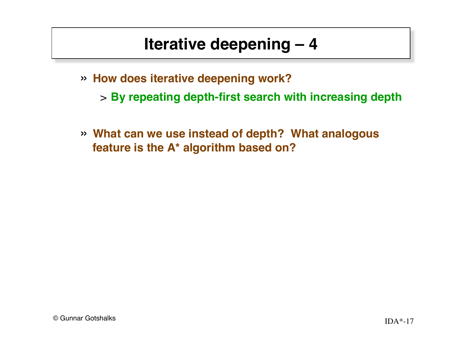- » **How does iterative deepening work?**
	- > **By repeating depth-first search with increasing depth**
- » **What can we use instead of depth? What analogous feature is the A\* algorithm based on?**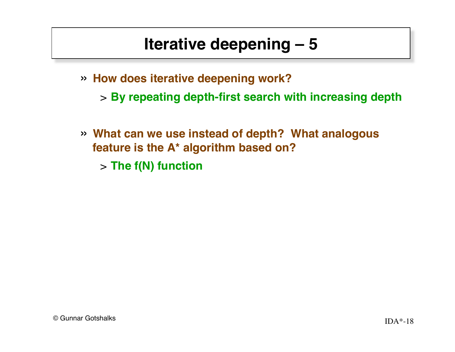- » **How does iterative deepening work?**
	- > **By repeating depth-first search with increasing depth**
- » **What can we use instead of depth? What analogous feature is the A\* algorithm based on?**
	- > **The f(N) function**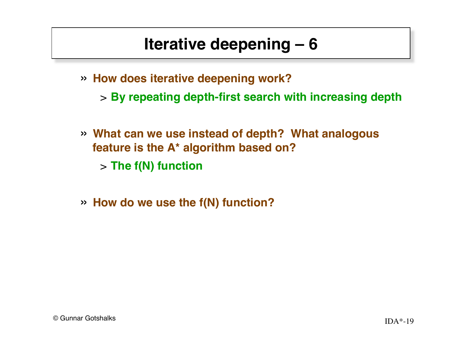- » **How does iterative deepening work?**
	- > **By repeating depth-first search with increasing depth**
- » **What can we use instead of depth? What analogous feature is the A\* algorithm based on?**
	- > **The f(N) function**
- » **How do we use the f(N) function?**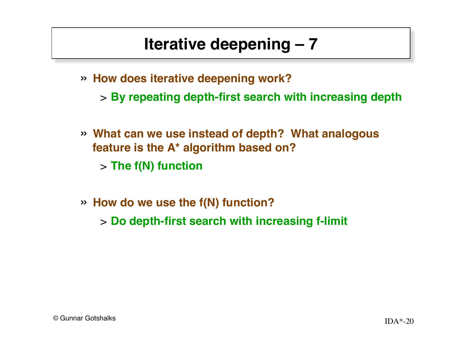- » **How does iterative deepening work?**
	- > **By repeating depth-first search with increasing depth**
- » **What can we use instead of depth? What analogous feature is the A\* algorithm based on?**
	- > **The f(N) function**
- » **How do we use the f(N) function?**
	- > **Do depth-first search with increasing f-limit**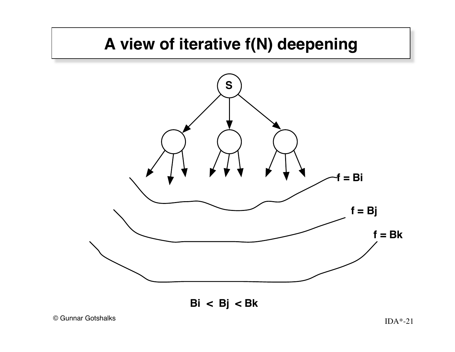#### **A view of iterative f(N) deepening**



**Bi < Bj < Bk**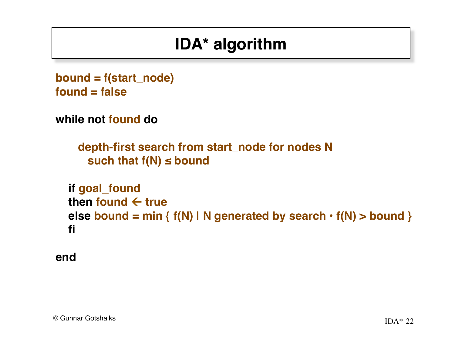# **IDA\* algorithm**

```
bound = f(start_node)
found = false
```

```
while not found do
```

```
 depth-first search from start_node for nodes N
  such that f(N) ≤ bound
```

```
 if goal_found
then found \leftarrow true
 else bound = min { f(N) | N generated by search • f(N) > bound }
 fi
```

```
end
```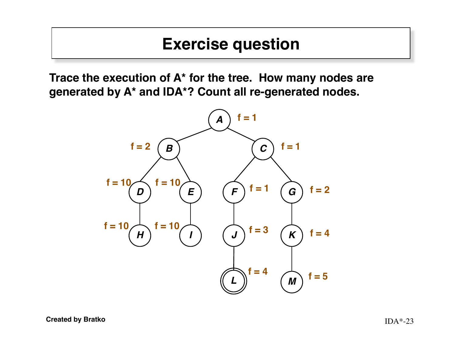#### **Exercise question**

**Trace the execution of A\* for the tree. How many nodes are generated by A\* and IDA\*? Count all re-generated nodes.**

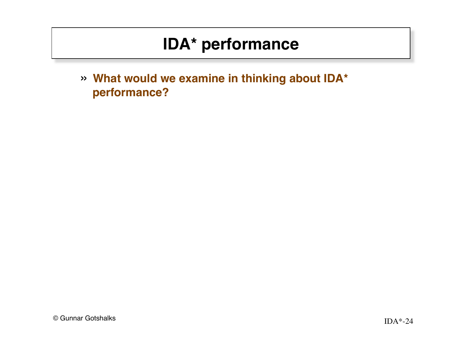## **IDA\* performance**

» **What would we examine in thinking about IDA\* performance?**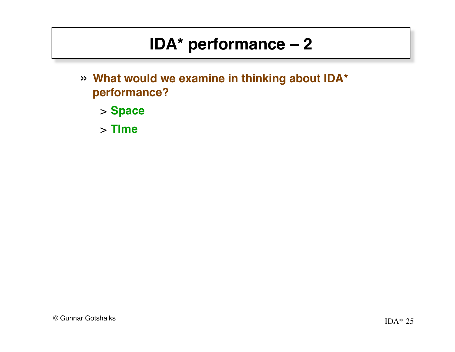# **IDA\* performance – 2**

- » **What would we examine in thinking about IDA\* performance?**
	- > **Space**
	- > **TIme**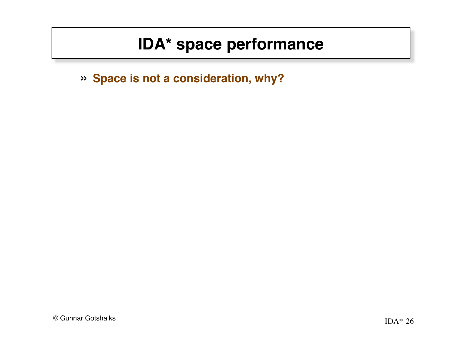#### **IDA\* space performance**

» **Space is not a consideration, why?**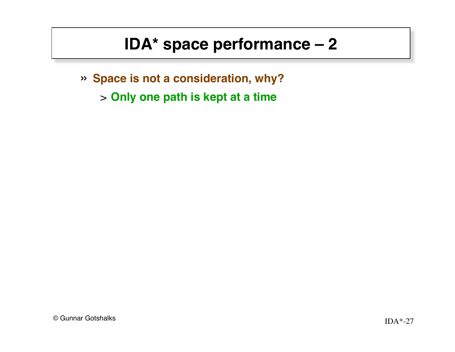## **IDA\* space performance – 2**

- » **Space is not a consideration, why?**
	- > **Only one path is kept at a time**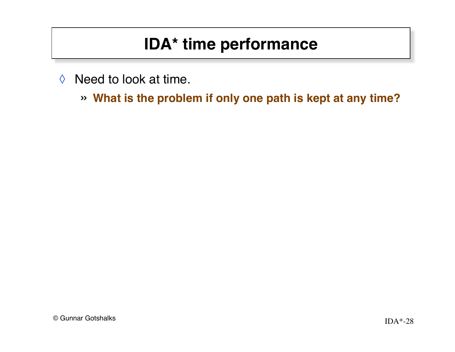# **IDA\* time performance**

- $\Diamond$  Need to look at time.
	- » **What is the problem if only one path is kept at any time?**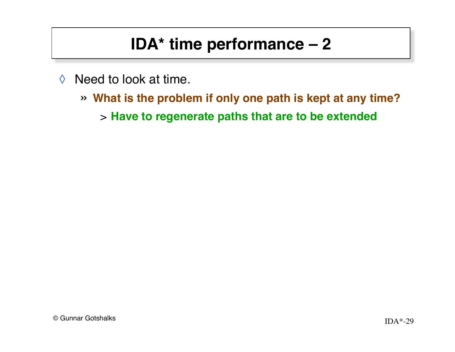## **IDA\* time performance – 2**

- $\Diamond$  Need to look at time.
	- » **What is the problem if only one path is kept at any time?**
		- > **Have to regenerate paths that are to be extended**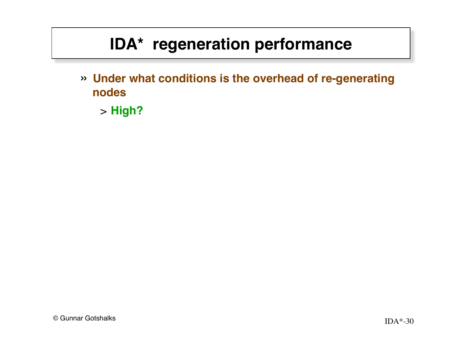» **Under what conditions is the overhead of re-generating nodes**

> **High?**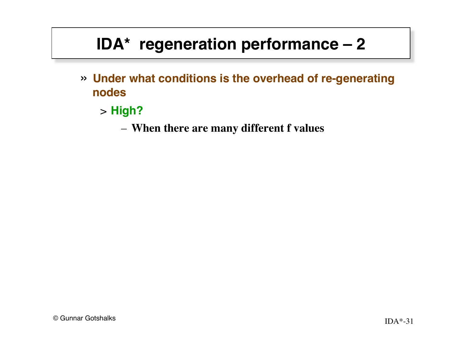- » **Under what conditions is the overhead of re-generating nodes**
	- > **High?**
		- **When there are many different f values**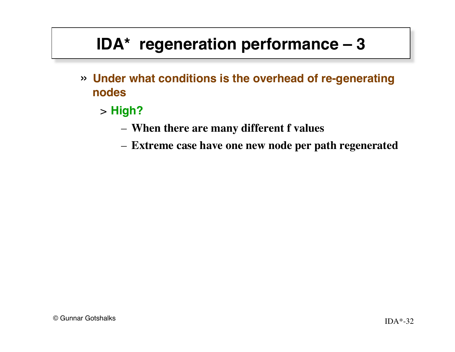- » **Under what conditions is the overhead of re-generating nodes**
	- > **High?**
		- **When there are many different f values**
		- **Extreme case have one new node per path regenerated**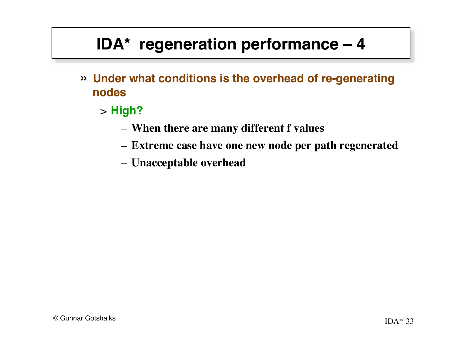- » **Under what conditions is the overhead of re-generating nodes**
	- > **High?**
		- **When there are many different f values**
		- **Extreme case have one new node per path regenerated**
		- **Unacceptable overhead**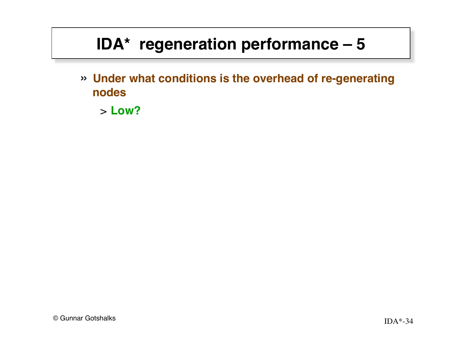» **Under what conditions is the overhead of re-generating nodes**

> **Low?**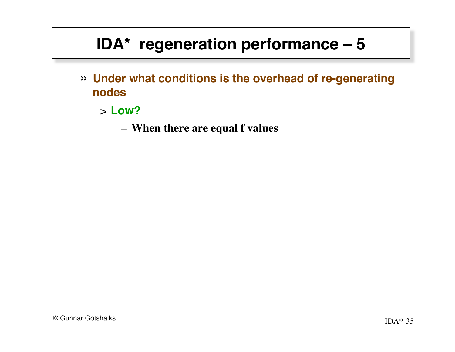- » **Under what conditions is the overhead of re-generating nodes**
	- > **Low?**
		- **When there are equal f values**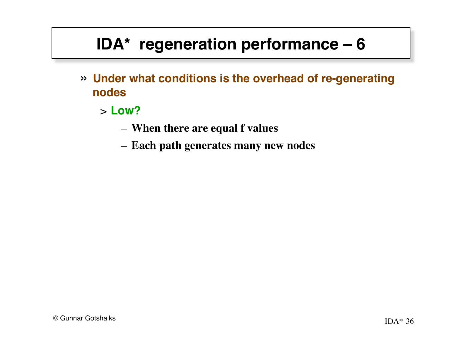- » **Under what conditions is the overhead of re-generating nodes**
	- > **Low?**
		- **When there are equal f values**
		- **Each path generates many new nodes**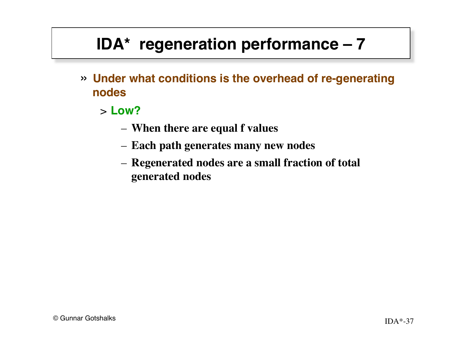- » **Under what conditions is the overhead of re-generating nodes**
	- > **Low?**
		- **When there are equal f values**
		- **Each path generates many new nodes**
		- **Regenerated nodes are a small fraction of total generated nodes**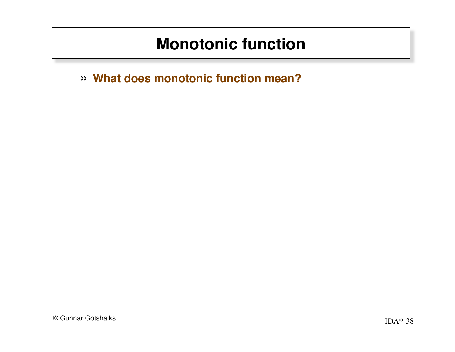#### **Monotonic function**

» **What does monotonic function mean?**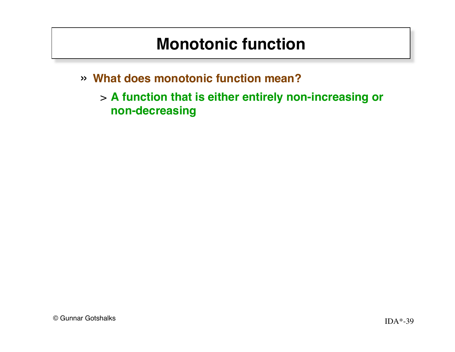#### **Monotonic function**

» **What does monotonic function mean?**

> **A function that is either entirely non-increasing or non-decreasing**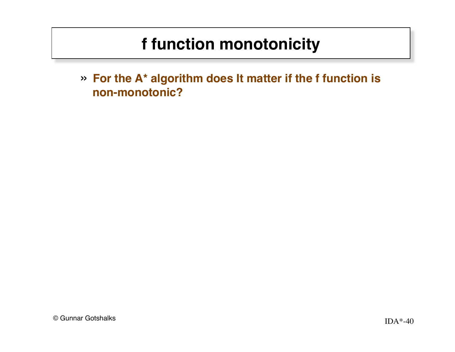» **For the A\* algorithm does It matter if the f function is non-monotonic?**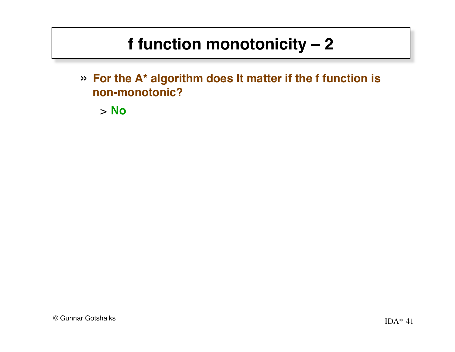» **For the A\* algorithm does It matter if the f function is non-monotonic?**

> **No**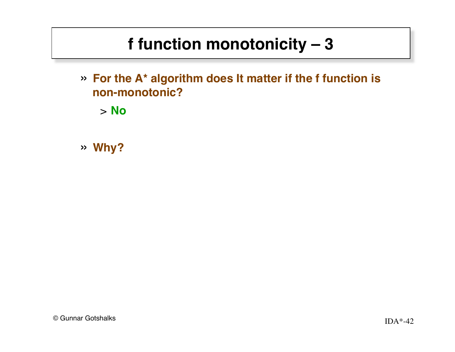» **For the A\* algorithm does It matter if the f function is non-monotonic?**

> **No**

» **Why? !!!!!!**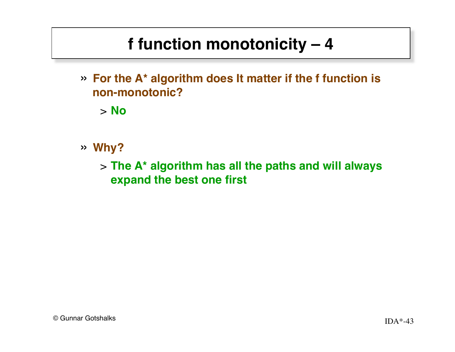» **For the A\* algorithm does It matter if the f function is non-monotonic?**

> **No**

- » **Why?**
	- > **The A\* algorithm has all the paths and will always expand the best one first**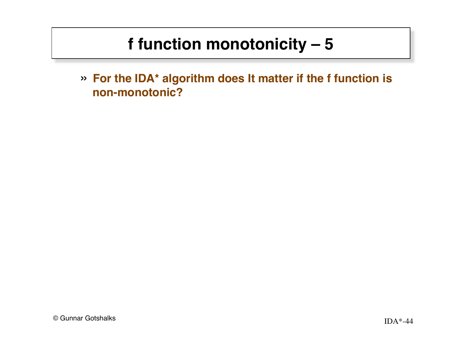» **For the IDA\* algorithm does It matter if the f function is non-monotonic?**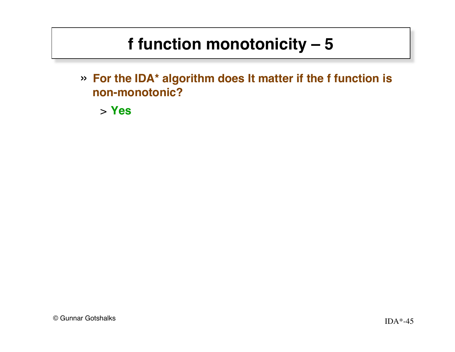» **For the IDA\* algorithm does It matter if the f function is non-monotonic?**

> **Yes ! !**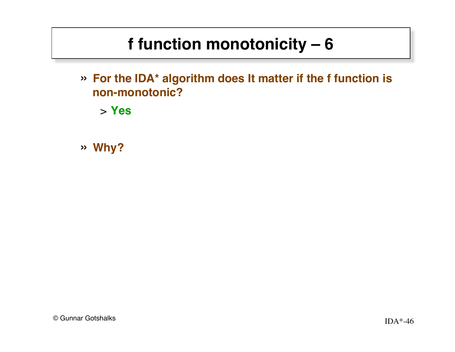» **For the IDA\* algorithm does It matter if the f function is non-monotonic?**

> **Yes**

» **Why? !!!!!!**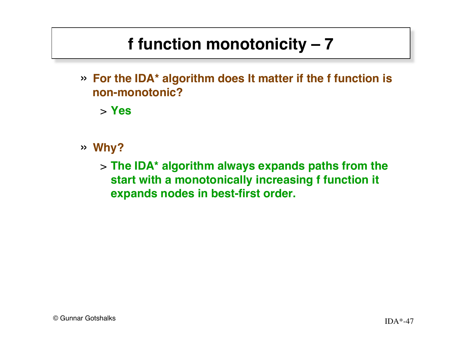» **For the IDA\* algorithm does It matter if the f function is non-monotonic?**

> **Yes**

- » **Why?**
	- > **The IDA\* algorithm always expands paths from the start with a monotonically increasing f function it expands nodes in best-first order.**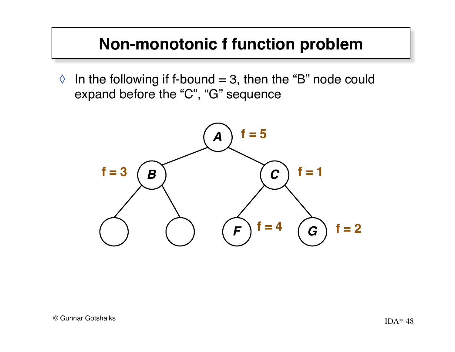#### **Non-monotonic f function problem**

 $\Diamond$  In the following if f-bound = 3, then the "B" node could expand before the "C", "G" sequence

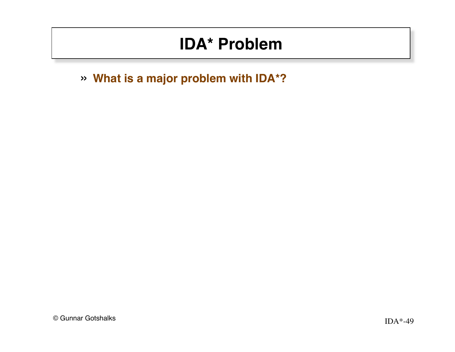» **What is a major problem with IDA\*?**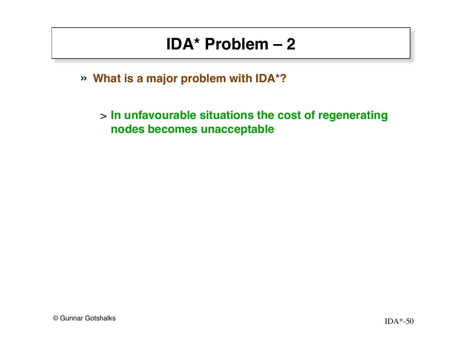» **What is a major problem with IDA\*?**

> **In unfavourable situations the cost of regenerating nodes becomes unacceptable**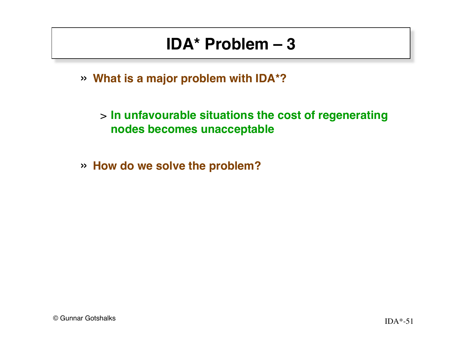» **What is a major problem with IDA\*?**

> **In unfavourable situations the cost of regenerating nodes becomes unacceptable**

» **How do we solve the problem?**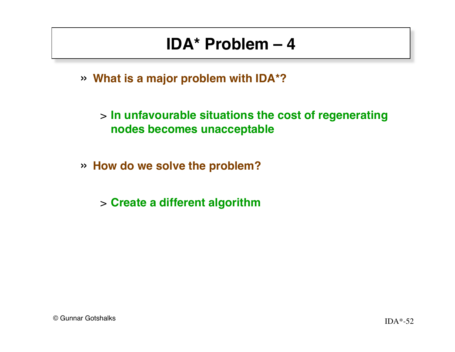» **What is a major problem with IDA\*?**

> **In unfavourable situations the cost of regenerating nodes becomes unacceptable**

» **How do we solve the problem?**

> **Create a different algorithm**